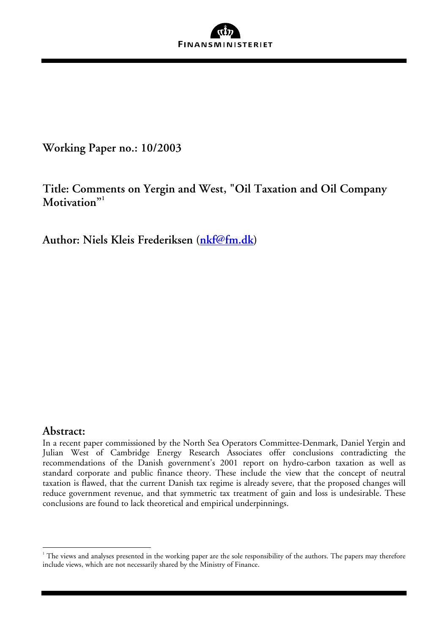

**Working Paper no.: 10/2003** 

**Title: Comments on Yergin and West, "Oil Taxation and Oil Company Motivation"<sup>1</sup>**

**Author: Niels Kleis Frederiksen (nkf@fm.dk)** 

# **Abstract:**

 $\overline{a}$ 

In a recent paper commissioned by the North Sea Operators Committee-Denmark, Daniel Yergin and Julian West of Cambridge Energy Research Associates offer conclusions contradicting the recommendations of the Danish government's 2001 report on hydro-carbon taxation as well as standard corporate and public finance theory. These include the view that the concept of neutral taxation is flawed, that the current Danish tax regime is already severe, that the proposed changes will reduce government revenue, and that symmetric tax treatment of gain and loss is undesirable. These conclusions are found to lack theoretical and empirical underpinnings.

 $^{\circ}$  The views and analyses presented in the working paper are the sole responsibility of the authors. The papers may therefore include views, which are not necessarily shared by the Ministry of Finance.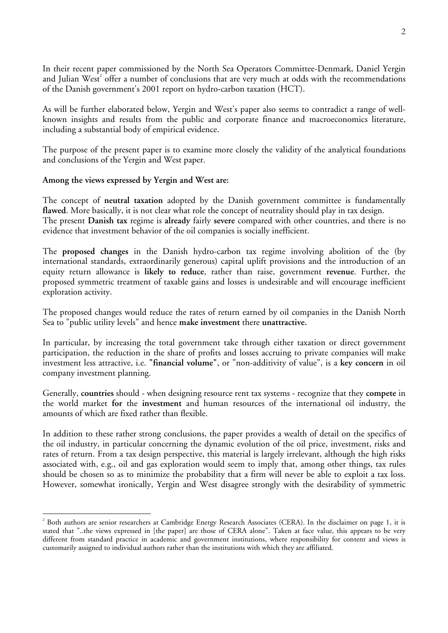In their recent paper commissioned by the North Sea Operators Committee-Denmark, Daniel Yergin and Julian West<sup>2</sup> offer a number of conclusions that are very much at odds with the recommendations of the Danish government's 2001 report on hydro-carbon taxation (HCT).

As will be further elaborated below, Yergin and West's paper also seems to contradict a range of wellknown insights and results from the public and corporate finance and macroeconomics literature, including a substantial body of empirical evidence.

The purpose of the present paper is to examine more closely the validity of the analytical foundations and conclusions of the Yergin and West paper.

## **Among the views expressed by Yergin and West are:**

 $\overline{a}$ 

The concept of **neutral taxation** adopted by the Danish government committee is fundamentally **flawed**. More basically, it is not clear what role the concept of neutrality should play in tax design. The present **Danish tax** regime is **already** fairly **severe** compared with other countries, and there is no evidence that investment behavior of the oil companies is socially inefficient.

The **proposed changes** in the Danish hydro-carbon tax regime involving abolition of the (by international standards, extraordinarily generous) capital uplift provisions and the introduction of an equity return allowance is **likely to reduce**, rather than raise, government **revenue**. Further, the proposed symmetric treatment of taxable gains and losses is undesirable and will encourage inefficient exploration activity.

The proposed changes would reduce the rates of return earned by oil companies in the Danish North Sea to "public utility levels" and hence **make investment** there **unattractive.** 

In particular, by increasing the total government take through either taxation or direct government participation, the reduction in the share of profits and losses accruing to private companies will make investment less attractive, i.e. **"financial volume"**, or "non-additivity of value", is a **key concern** in oil company investment planning.

Generally, **countries** should - when designing resource rent tax systems - recognize that they **compete** in the world market **for** the **investment** and human resources of the international oil industry, the amounts of which are fixed rather than flexible.

In addition to these rather strong conclusions, the paper provides a wealth of detail on the specifics of the oil industry, in particular concerning the dynamic evolution of the oil price, investment, risks and rates of return. From a tax design perspective, this material is largely irrelevant, although the high risks associated with, e.g., oil and gas exploration would seem to imply that, among other things, tax rules should be chosen so as to minimize the probability that a firm will never be able to exploit a tax loss. However, somewhat ironically, Yergin and West disagree strongly with the desirability of symmetric

<sup>2</sup> Both authors are senior researchers at Cambridge Energy Research Associates (CERA). In the disclaimer on page 1, it is stated that "..the views expressed in [the paper] are those of CERA alone". Taken at face value, this appears to be very different from standard practice in academic and government institutions, where responsibility for content and views is customarily assigned to individual authors rather than the institutions with which they are affiliated.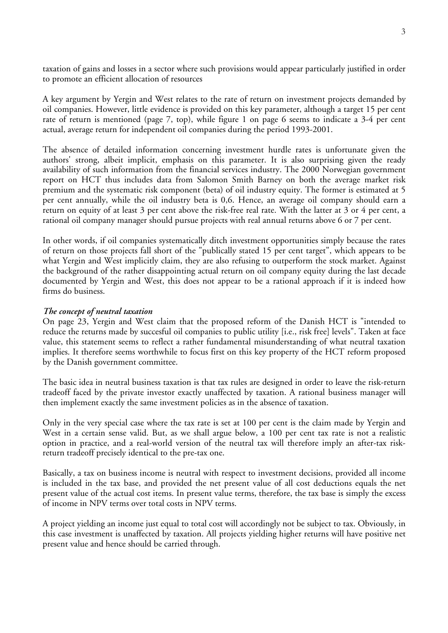taxation of gains and losses in a sector where such provisions would appear particularly justified in order to promote an efficient allocation of resources

A key argument by Yergin and West relates to the rate of return on investment projects demanded by oil companies. However, little evidence is provided on this key parameter, although a target 15 per cent rate of return is mentioned (page 7, top), while figure 1 on page 6 seems to indicate a 3-4 per cent actual, average return for independent oil companies during the period 1993-2001.

The absence of detailed information concerning investment hurdle rates is unfortunate given the authors' strong, albeit implicit, emphasis on this parameter. It is also surprising given the ready availability of such information from the financial services industry. The 2000 Norwegian government report on HCT thus includes data from Salomon Smith Barney on both the average market risk premium and the systematic risk component (beta) of oil industry equity. The former is estimated at 5 per cent annually, while the oil industry beta is 0,6. Hence, an average oil company should earn a return on equity of at least 3 per cent above the risk-free real rate. With the latter at 3 or 4 per cent, a rational oil company manager should pursue projects with real annual returns above 6 or 7 per cent.

In other words, if oil companies systematically ditch investment opportunities simply because the rates of return on those projects fall short of the "publically stated 15 per cent target", which appears to be what Yergin and West implicitly claim, they are also refusing to outperform the stock market. Against the background of the rather disappointing actual return on oil company equity during the last decade documented by Yergin and West, this does not appear to be a rational approach if it is indeed how firms do business.

#### *The concept of neutral taxation*

On page 23, Yergin and West claim that the proposed reform of the Danish HCT is "intended to reduce the returns made by succesful oil companies to public utility [i.e., risk free] levels". Taken at face value, this statement seems to reflect a rather fundamental misunderstanding of what neutral taxation implies. It therefore seems worthwhile to focus first on this key property of the HCT reform proposed by the Danish government committee.

The basic idea in neutral business taxation is that tax rules are designed in order to leave the risk-return tradeoff faced by the private investor exactly unaffected by taxation. A rational business manager will then implement exactly the same investment policies as in the absence of taxation.

Only in the very special case where the tax rate is set at 100 per cent is the claim made by Yergin and West in a certain sense valid. But, as we shall argue below, a 100 per cent tax rate is not a realistic option in practice, and a real-world version of the neutral tax will therefore imply an after-tax riskreturn tradeoff precisely identical to the pre-tax one.

Basically, a tax on business income is neutral with respect to investment decisions, provided all income is included in the tax base, and provided the net present value of all cost deductions equals the net present value of the actual cost items. In present value terms, therefore, the tax base is simply the excess of income in NPV terms over total costs in NPV terms.

A project yielding an income just equal to total cost will accordingly not be subject to tax. Obviously, in this case investment is unaffected by taxation. All projects yielding higher returns will have positive net present value and hence should be carried through.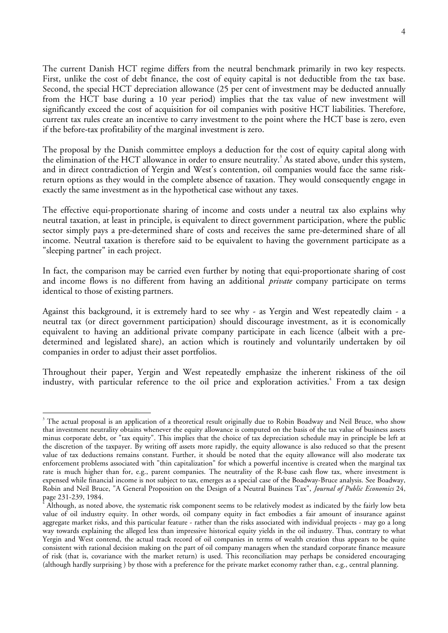The current Danish HCT regime differs from the neutral benchmark primarily in two key respects. First, unlike the cost of debt finance, the cost of equity capital is not deductible from the tax base. Second, the special HCT depreciation allowance (25 per cent of investment may be deducted annually from the HCT base during a 10 year period) implies that the tax value of new investment will significantly exceed the cost of acquisition for oil companies with positive HCT liabilities. Therefore, current tax rules create an incentive to carry investment to the point where the HCT base is zero, even if the before-tax profitability of the marginal investment is zero.

The proposal by the Danish committee employs a deduction for the cost of equity capital along with the elimination of the HCT allowance in order to ensure neutrality.<sup>3</sup> As stated above, under this system, and in direct contradiction of Yergin and West's contention, oil companies would face the same riskreturn options as they would in the complete absence of taxation. They would consequently engage in exactly the same investment as in the hypothetical case without any taxes.

The effective equi-proportionate sharing of income and costs under a neutral tax also explains why neutral taxation, at least in principle, is equivalent to direct government participation, where the public sector simply pays a pre-determined share of costs and receives the same pre-determined share of all income. Neutral taxation is therefore said to be equivalent to having the government participate as a "sleeping partner" in each project.

In fact, the comparison may be carried even further by noting that equi-proportionate sharing of cost and income flows is no different from having an additional *private* company participate on terms identical to those of existing partners.

Against this background, it is extremely hard to see why - as Yergin and West repeatedly claim - a neutral tax (or direct government participation) should discourage investment, as it is economically equivalent to having an additional private company participate in each licence (albeit with a predetermined and legislated share), an action which is routinely and voluntarily undertaken by oil companies in order to adjust their asset portfolios.

Throughout their paper, Yergin and West repeatedly emphasize the inherent riskiness of the oil industry, with particular reference to the oil price and exploration activities.<sup>4</sup> From a tax design

 $\overline{a}$  $3$  The actual proposal is an application of a theoretical result originally due to Robin Boadway and Neil Bruce, who show that investment neutrality obtains whenever the equity allowance is computed on the basis of the tax value of business assets minus corporate debt, or "tax equity". This implies that the choice of tax depreciation schedule may in principle be left at the discretion of the taxpayer. By writing off assets more rapidly, the equity allowance is also reduced so that the present value of tax deductions remains constant. Further, it should be noted that the equity allowance will also moderate tax enforcement problems associated with "thin capitalization" for which a powerful incentive is created when the marginal tax rate is much higher than for, e.g., parent companies. The neutrality of the R-base cash flow tax, where investment is expensed while financial income is not subject to tax, emerges as a special case of the Boadway-Bruce analysis. See Boadway, Robin and Neil Bruce, "A General Proposition on the Design of a Neutral Business Tax", *Journal of Public Economics* 24, page 231-239, 1984.

<sup>4</sup> Although, as noted above, the systematic risk component seems to be relatively modest as indicated by the fairly low beta value of oil industry equity. In other words, oil company equity in fact embodies a fair amount of insurance against aggregate market risks, and this particular feature - rather than the risks associated with individual projects - may go a long way towards explaining the alleged less than impressive historical equity yields in the oil industry. Thus, contrary to what Yergin and West contend, the actual track record of oil companies in terms of wealth creation thus appears to be quite consistent with rational decision making on the part of oil company managers when the standard corporate finance measure of risk (that is, covariance with the market return) is used. This reconciliation may perhaps be considered encouraging (although hardly surprising ) by those with a preference for the private market economy rather than, e.g., central planning.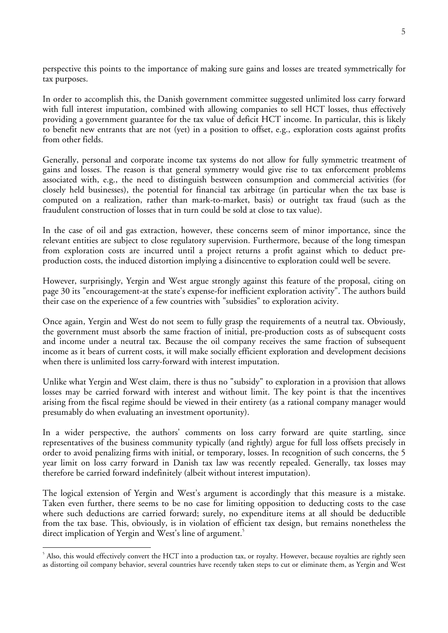perspective this points to the importance of making sure gains and losses are treated symmetrically for tax purposes.

In order to accomplish this, the Danish government committee suggested unlimited loss carry forward with full interest imputation, combined with allowing companies to sell HCT losses, thus effectively providing a government guarantee for the tax value of deficit HCT income. In particular, this is likely to benefit new entrants that are not (yet) in a position to offset, e.g., exploration costs against profits from other fields.

Generally, personal and corporate income tax systems do not allow for fully symmetric treatment of gains and losses. The reason is that general symmetry would give rise to tax enforcement problems associated with, e.g., the need to distinguish bestween consumption and commercial activities (for closely held businesses), the potential for financial tax arbitrage (in particular when the tax base is computed on a realization, rather than mark-to-market, basis) or outright tax fraud (such as the fraudulent construction of losses that in turn could be sold at close to tax value).

In the case of oil and gas extraction, however, these concerns seem of minor importance, since the relevant entities are subject to close regulatory supervision. Furthermore, because of the long timespan from exploration costs are incurred until a project returns a profit against which to deduct preproduction costs, the induced distortion implying a disincentive to exploration could well be severe.

However, surprisingly, Yergin and West argue strongly against this feature of the proposal, citing on page 30 its "encouragement-at the state's expense-for inefficient exploration activity". The authors build their case on the experience of a few countries with "subsidies" to exploration acivity.

Once again, Yergin and West do not seem to fully grasp the requirements of a neutral tax. Obviously, the government must absorb the same fraction of initial, pre-production costs as of subsequent costs and income under a neutral tax. Because the oil company receives the same fraction of subsequent income as it bears of current costs, it will make socially efficient exploration and development decisions when there is unlimited loss carry-forward with interest imputation.

Unlike what Yergin and West claim, there is thus no "subsidy" to exploration in a provision that allows losses may be carried forward with interest and without limit. The key point is that the incentives arising from the fiscal regime should be viewed in their entirety (as a rational company manager would presumably do when evaluating an investment oportunity).

In a wider perspective, the authors' comments on loss carry forward are quite startling, since representatives of the business community typically (and rightly) argue for full loss offsets precisely in order to avoid penalizing firms with initial, or temporary, losses. In recognition of such concerns, the 5 year limit on loss carry forward in Danish tax law was recently repealed. Generally, tax losses may therefore be carried forward indefinitely (albeit without interest imputation).

The logical extension of Yergin and West's argument is accordingly that this measure is a mistake. Taken even further, there seems to be no case for limiting opposition to deducting costs to the case where such deductions are carried forward; surely, no expenditure items at all should be deductible from the tax base. This, obviously, is in violation of efficient tax design, but remains nonetheless the direct implication of Yergin and West's line of argument.<sup>5</sup>

 $\overline{a}$ 

 $^5$  Also, this would effectively convert the HCT into a production tax, or royalty. However, because royalties are rightly seen as distorting oil company behavior, several countries have recently taken steps to cut or eliminate them, as Yergin and West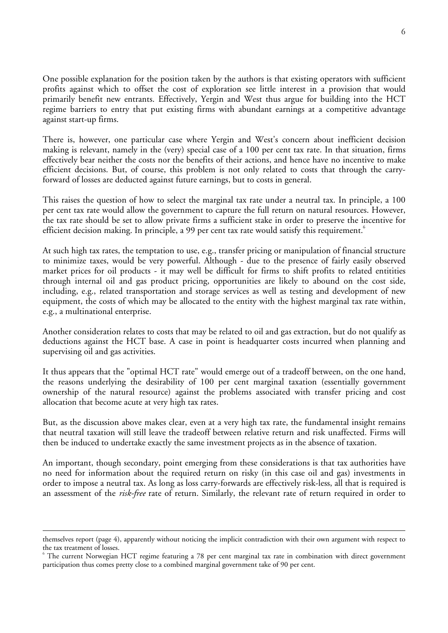One possible explanation for the position taken by the authors is that existing operators with sufficient profits against which to offset the cost of exploration see little interest in a provision that would primarily benefit new entrants. Effectively, Yergin and West thus argue for building into the HCT regime barriers to entry that put existing firms with abundant earnings at a competitive advantage against start-up firms.

There is, however, one particular case where Yergin and West's concern about inefficient decision making is relevant, namely in the (very) special case of a 100 per cent tax rate. In that situation, firms effectively bear neither the costs nor the benefits of their actions, and hence have no incentive to make efficient decisions. But, of course, this problem is not only related to costs that through the carryforward of losses are deducted against future earnings, but to costs in general.

This raises the question of how to select the marginal tax rate under a neutral tax. In principle, a 100 per cent tax rate would allow the government to capture the full return on natural resources. However, the tax rate should be set to allow private firms a sufficient stake in order to preserve the incentive for efficient decision making. In principle, a 99 per cent tax rate would satisfy this requirement. $^{\circ}$ 

At such high tax rates, the temptation to use, e.g., transfer pricing or manipulation of financial structure to minimize taxes, would be very powerful. Although - due to the presence of fairly easily observed market prices for oil products - it may well be difficult for firms to shift profits to related entitities through internal oil and gas product pricing, opportunities are likely to abound on the cost side, including, e.g., related transportation and storage services as well as testing and development of new equipment, the costs of which may be allocated to the entity with the highest marginal tax rate within, e.g., a multinational enterprise.

Another consideration relates to costs that may be related to oil and gas extraction, but do not qualify as deductions against the HCT base. A case in point is headquarter costs incurred when planning and supervising oil and gas activities.

It thus appears that the "optimal HCT rate" would emerge out of a tradeoff between, on the one hand, the reasons underlying the desirability of 100 per cent marginal taxation (essentially government ownership of the natural resource) against the problems associated with transfer pricing and cost allocation that become acute at very high tax rates.

But, as the discussion above makes clear, even at a very high tax rate, the fundamental insight remains that neutral taxation will still leave the tradeoff between relative return and risk unaffected. Firms will then be induced to undertake exactly the same investment projects as in the absence of taxation.

An important, though secondary, point emerging from these considerations is that tax authorities have no need for information about the required return on risky (in this case oil and gas) investments in order to impose a neutral tax. As long as loss carry-forwards are effectively risk-less, all that is required is an assessment of the *risk-free* rate of return. Similarly, the relevant rate of return required in order to

 $\overline{a}$ 

themselves report (page 4), apparently without noticing the implicit contradiction with their own argument with respect to the tax treatment of losses.

<sup>6</sup> The current Norwegian HCT regime featuring a 78 per cent marginal tax rate in combination with direct government participation thus comes pretty close to a combined marginal government take of 90 per cent.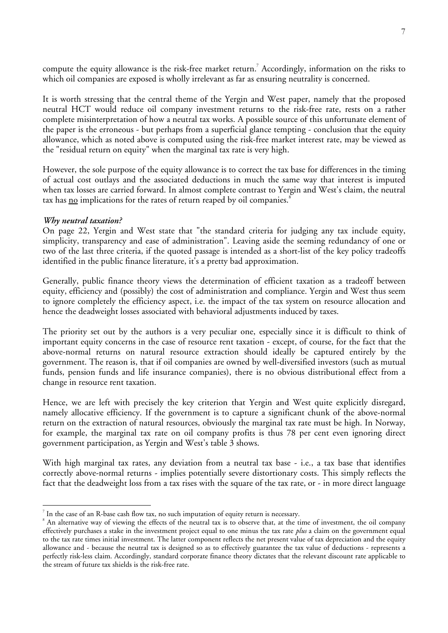compute the equity allowance is the risk-free market return.<sup>7</sup> Accordingly, information on the risks to which oil companies are exposed is wholly irrelevant as far as ensuring neutrality is concerned.

It is worth stressing that the central theme of the Yergin and West paper, namely that the proposed neutral HCT would reduce oil company investment returns to the risk-free rate, rests on a rather complete misinterpretation of how a neutral tax works. A possible source of this unfortunate element of the paper is the erroneous - but perhaps from a superficial glance tempting - conclusion that the equity allowance, which as noted above is computed using the risk-free market interest rate, may be viewed as the "residual return on equity" when the marginal tax rate is very high.

However, the sole purpose of the equity allowance is to correct the tax base for differences in the timing of actual cost outlays and the associated deductions in much the same way that interest is imputed when tax losses are carried forward. In almost complete contrast to Yergin and West's claim, the neutral tax has <u>no</u> implications for the rates of return reaped by oil companies.<sup>8</sup>

#### *Why neutral taxation?*

 $\overline{a}$ 

On page 22, Yergin and West state that "the standard criteria for judging any tax include equity, simplicity, transparency and ease of administration". Leaving aside the seeming redundancy of one or two of the last three criteria, if the quoted passage is intended as a short-list of the key policy tradeoffs identified in the public finance literature, it's a pretty bad approximation.

Generally, public finance theory views the determination of efficient taxation as a tradeoff between equity, efficiency and (possibly) the cost of administration and compliance. Yergin and West thus seem to ignore completely the efficiency aspect, i.e. the impact of the tax system on resource allocation and hence the deadweight losses associated with behavioral adjustments induced by taxes.

The priority set out by the authors is a very peculiar one, especially since it is difficult to think of important equity concerns in the case of resource rent taxation - except, of course, for the fact that the above-normal returns on natural resource extraction should ideally be captured entirely by the government. The reason is, that if oil companies are owned by well-diversified investors (such as mutual funds, pension funds and life insurance companies), there is no obvious distributional effect from a change in resource rent taxation.

Hence, we are left with precisely the key criterion that Yergin and West quite explicitly disregard, namely allocative efficiency. If the government is to capture a significant chunk of the above-normal return on the extraction of natural resources, obviously the marginal tax rate must be high. In Norway, for example, the marginal tax rate on oil company profits is thus 78 per cent even ignoring direct government participation, as Yergin and West's table 3 shows.

With high marginal tax rates, any deviation from a neutral tax base - i.e., a tax base that identifies correctly above-normal returns - implies potentially severe distortionary costs. This simply reflects the fact that the deadweight loss from a tax rises with the square of the tax rate, or - in more direct language

<sup>7</sup> In the case of an R-base cash flow tax, no such imputation of equity return is necessary.

<sup>&</sup>lt;sup>8</sup> An alternative way of viewing the effects of the neutral tax is to observe that, at the time of investment, the oil company effectively purchases a stake in the investment project equal to one minus the tax rate *plus* a claim on the government equal to the tax rate times initial investment. The latter component reflects the net present value of tax depreciation and the equity allowance and - because the neutral tax is designed so as to effectively guarantee the tax value of deductions - represents a perfectly risk-less claim. Accordingly, standard corporate finance theory dictates that the relevant discount rate applicable to the stream of future tax shields is the risk-free rate.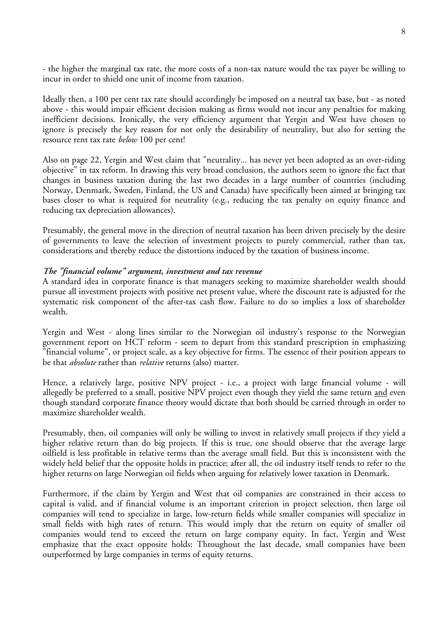- the higher the marginal tax rate, the more costs of a non-tax nature would the tax payer be willing to incur in order to shield one unit of income from taxation.

Ideally then, a 100 per cent tax rate should accordingly be imposed on a neutral tax base, but - as noted above - this would impair efficient decision making as firms would not incur any penalties for making inefficient decisions. Ironically, the very efficiency argument that Yergin and West have chosen to ignore is precisely the key reason for not only the desirability of neutrality, but also for setting the resource rent tax rate *below* 100 per cent!

Also on page 22, Yergin and West claim that "neutrality... has never yet been adopted as an over-riding objective" in tax reform. In drawing this very broad conclusion, the authors seem to ignore the fact that changes in business taxation during the last two decades in a large number of countries (including Norway, Denmark, Sweden, Finland, the US and Canada) have specifically been aimed at bringing tax bases closer to what is required for neutrality (e.g., reducing the tax penalty on equity finance and reducing tax depreciation allowances).

Presumably, the general move in the direction of neutral taxation has been driven precisely by the desire of governments to leave the selection of investment projects to purely commercial, rather than tax, considerations and thereby reduce the distortions induced by the taxation of business income.

#### *The "financial volume" argument, investment and tax revenue*

A standard idea in corporate finance is that managers seeking to maximize shareholder wealth should pursue all investment projects with positive net present value, where the discount rate is adjusted for the systematic risk component of the after-tax cash flow. Failure to do so implies a loss of shareholder wealth.

Yergin and West - along lines similar to the Norwegian oil industry's response to the Norwegian government report on HCT reform - seem to depart from this standard prescription in emphasizing "financial volume", or project scale, as a key objective for firms. The essence of their position appears to be that *absolute* rather than *relative* returns (also) matter.

Hence, a relatively large, positive NPV project - i.e., a project with large financial volume - will allegedly be preferred to a small, positive NPV project even though they yield the same return and even though standard corporate finance theory would dictate that both should be carried through in order to maximize shareholder wealth.

Presumably, then, oil companies will only be willing to invest in relatively small projects if they yield a higher relative return than do big projects. If this is true, one should observe that the average large oilfield is less profitable in relative terms than the average small field. But this is inconsistent with the widely held belief that the opposite holds in practice; after all, the oil industry itself tends to refer to the higher returns on large Norwegian oil fields when arguing for relatively lower taxation in Denmark.

Furthermore, if the claim by Yergin and West that oil companies are constrained in their access to capital is valid, and if financial volume is an important criterion in project selection, then large oil companies will tend to specialize in large, low-return fields while smaller companies will specialize in small fields with high rates of return. This would imply that the return on equity of smaller oil companies would tend to exceed the return on large company equity. In fact, Yergin and West emphasize that the exact opposite holds: Throughout the last decade, small companies have been outperformed by large companies in terms of equity returns.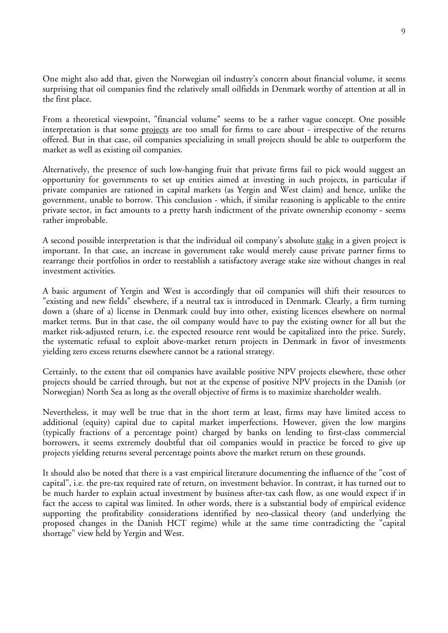One might also add that, given the Norwegian oil industry's concern about financial volume, it seems surprising that oil companies find the relatively small oilfields in Denmark worthy of attention at all in the first place.

From a theoretical viewpoint, "financial volume" seems to be a rather vague concept. One possible interpretation is that some projects are too small for firms to care about - irrespective of the returns offered. But in that case, oil companies specializing in small projects should be able to outperform the market as well as existing oil companies.

Alternatively, the presence of such low-hanging fruit that private firms fail to pick would suggest an opportunity for governments to set up entities aimed at investing in such projects, in particular if private companies are rationed in capital markets (as Yergin and West claim) and hence, unlike the government, unable to borrow. This conclusion - which, if similar reasoning is applicable to the entire private sector, in fact amounts to a pretty harsh indictment of the private ownership economy - seems rather improbable.

A second possible interpretation is that the individual oil company's absolute stake in a given project is important. In that case, an increase in government take would merely cause private partner firms to rearrange their portfolios in order to reestablish a satisfactory average stake size without changes in real investment activities.

A basic argument of Yergin and West is accordingly that oil companies will shift their resources to "existing and new fields" elsewhere, if a neutral tax is introduced in Denmark. Clearly, a firm turning down a (share of a) license in Denmark could buy into other, existing licences elsewhere on normal market terms. But in that case, the oil company would have to pay the existing owner for all but the market risk-adjusted return, i.e. the expected resource rent would be capitalized into the price. Surely, the systematic refusal to exploit above-market return projects in Denmark in favor of investments yielding zero excess returns elsewhere cannot be a rational strategy.

Certainly, to the extent that oil companies have available positive NPV projects elsewhere, these other projects should be carried through, but not at the expense of positive NPV projects in the Danish (or Norwegian) North Sea as long as the overall objective of firms is to maximize shareholder wealth.

Nevertheless, it may well be true that in the short term at least, firms may have limited access to additional (equity) capital due to capital market imperfections. However, given the low margins (typically fractions of a percentage point) charged by banks on lending to first-class commercial borrowers, it seems extremely doubtful that oil companies would in practice be forced to give up projects yielding returns several percentage points above the market return on these grounds.

It should also be noted that there is a vast empirical literature documenting the influence of the "cost of capital", i.e. the pre-tax required rate of return, on investment behavior. In contrast, it has turned out to be much harder to explain actual investment by business after-tax cash flow, as one would expect if in fact the access to capital was limited. In other words, there is a substantial body of empirical evidence supporting the profitability considerations identified by neo-classical theory (and underlying the proposed changes in the Danish HCT regime) while at the same time contradicting the "capital shortage" view held by Yergin and West.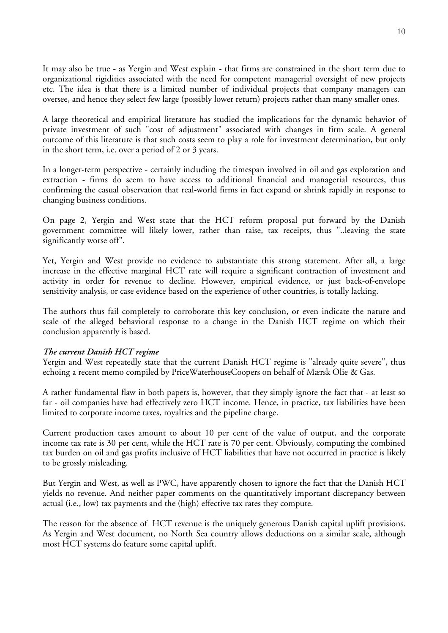It may also be true - as Yergin and West explain - that firms are constrained in the short term due to organizational rigidities associated with the need for competent managerial oversight of new projects etc. The idea is that there is a limited number of individual projects that company managers can oversee, and hence they select few large (possibly lower return) projects rather than many smaller ones.

A large theoretical and empirical literature has studied the implications for the dynamic behavior of private investment of such "cost of adjustment" associated with changes in firm scale. A general outcome of this literature is that such costs seem to play a role for investment determination, but only in the short term, i.e. over a period of 2 or 3 years.

In a longer-term perspective - certainly including the timespan involved in oil and gas exploration and extraction - firms do seem to have access to additional financial and managerial resources, thus confirming the casual observation that real-world firms in fact expand or shrink rapidly in response to changing business conditions.

On page 2, Yergin and West state that the HCT reform proposal put forward by the Danish government committee will likely lower, rather than raise, tax receipts, thus "..leaving the state significantly worse off".

Yet, Yergin and West provide no evidence to substantiate this strong statement. After all, a large increase in the effective marginal HCT rate will require a significant contraction of investment and activity in order for revenue to decline. However, empirical evidence, or just back-of-envelope sensitivity analysis, or case evidence based on the experience of other countries, is totally lacking.

The authors thus fail completely to corroborate this key conclusion, or even indicate the nature and scale of the alleged behavioral response to a change in the Danish HCT regime on which their conclusion apparently is based.

### *The current Danish HCT regime*

Yergin and West repeatedly state that the current Danish HCT regime is "already quite severe", thus echoing a recent memo compiled by PriceWaterhouseCoopers on behalf of Mærsk Olie & Gas.

A rather fundamental flaw in both papers is, however, that they simply ignore the fact that - at least so far - oil companies have had effectively zero HCT income. Hence, in practice, tax liabilities have been limited to corporate income taxes, royalties and the pipeline charge.

Current production taxes amount to about 10 per cent of the value of output, and the corporate income tax rate is 30 per cent, while the HCT rate is 70 per cent. Obviously, computing the combined tax burden on oil and gas profits inclusive of HCT liabilities that have not occurred in practice is likely to be grossly misleading.

But Yergin and West, as well as PWC, have apparently chosen to ignore the fact that the Danish HCT yields no revenue. And neither paper comments on the quantitatively important discrepancy between actual (i.e., low) tax payments and the (high) effective tax rates they compute.

The reason for the absence of HCT revenue is the uniquely generous Danish capital uplift provisions. As Yergin and West document, no North Sea country allows deductions on a similar scale, although most HCT systems do feature some capital uplift.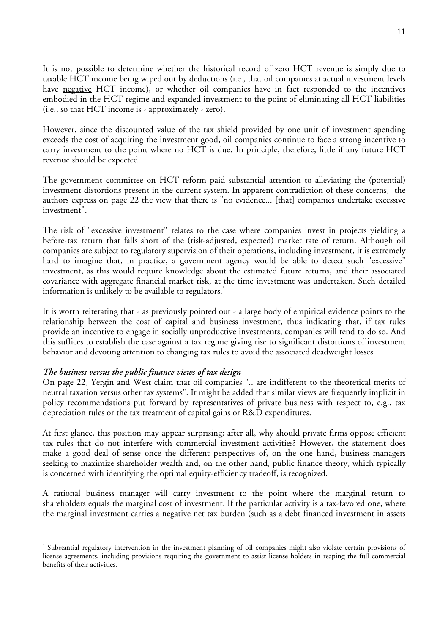It is not possible to determine whether the historical record of zero HCT revenue is simply due to taxable HCT income being wiped out by deductions (i.e., that oil companies at actual investment levels have negative HCT income), or whether oil companies have in fact responded to the incentives embodied in the HCT regime and expanded investment to the point of eliminating all HCT liabilities  $(i.e., so that HCT income is - approximately -  $\frac{zero}{i}$ ).$ 

However, since the discounted value of the tax shield provided by one unit of investment spending exceeds the cost of acquiring the investment good, oil companies continue to face a strong incentive to carry investment to the point where no HCT is due. In principle, therefore, little if any future HCT revenue should be expected.

The government committee on HCT reform paid substantial attention to alleviating the (potential) investment distortions present in the current system. In apparent contradiction of these concerns, the authors express on page 22 the view that there is "no evidence... [that] companies undertake excessive investment".

The risk of "excessive investment" relates to the case where companies invest in projects yielding a before-tax return that falls short of the (risk-adjusted, expected) market rate of return. Although oil companies are subject to regulatory supervision of their operations, including investment, it is extremely hard to imagine that, in practice, a government agency would be able to detect such "excessive" investment, as this would require knowledge about the estimated future returns, and their associated covariance with aggregate financial market risk, at the time investment was undertaken. Such detailed information is unlikely to be available to regulators.<sup>9</sup>

It is worth reiterating that - as previously pointed out - a large body of empirical evidence points to the relationship between the cost of capital and business investment, thus indicating that, if tax rules provide an incentive to engage in socially unproductive investments, companies will tend to do so. And this suffices to establish the case against a tax regime giving rise to significant distortions of investment behavior and devoting attention to changing tax rules to avoid the associated deadweight losses.

# *The business versus the public finance views of tax design*

On page 22, Yergin and West claim that oil companies ".. are indifferent to the theoretical merits of neutral taxation versus other tax systems". It might be added that similar views are frequently implicit in policy recommendations put forward by representatives of private business with respect to, e.g., tax depreciation rules or the tax treatment of capital gains or R&D expenditures.

At first glance, this position may appear surprising; after all, why should private firms oppose efficient tax rules that do not interfere with commercial investment activities? However, the statement does make a good deal of sense once the different perspectives of, on the one hand, business managers seeking to maximize shareholder wealth and, on the other hand, public finance theory, which typically is concerned with identifying the optimal equity-efficiency tradeoff, is recognized.

A rational business manager will carry investment to the point where the marginal return to shareholders equals the marginal cost of investment. If the particular activity is a tax-favored one, where the marginal investment carries a negative net tax burden (such as a debt financed investment in assets

 $\overline{a}$ 9 Substantial regulatory intervention in the investment planning of oil companies might also violate certain provisions of license agreements, including provisions requiring the government to assist license holders in reaping the full commercial benefits of their activities.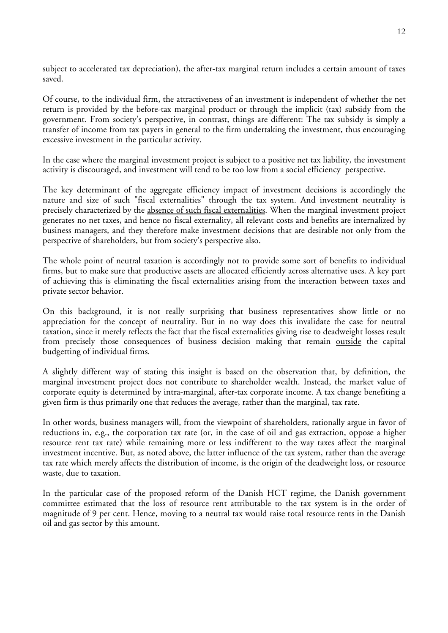subject to accelerated tax depreciation), the after-tax marginal return includes a certain amount of taxes saved.

Of course, to the individual firm, the attractiveness of an investment is independent of whether the net return is provided by the before-tax marginal product or through the implicit (tax) subsidy from the government. From society's perspective, in contrast, things are different: The tax subsidy is simply a transfer of income from tax payers in general to the firm undertaking the investment, thus encouraging excessive investment in the particular activity.

In the case where the marginal investment project is subject to a positive net tax liability, the investment activity is discouraged, and investment will tend to be too low from a social efficiency perspective.

The key determinant of the aggregate efficiency impact of investment decisions is accordingly the nature and size of such "fiscal externalities" through the tax system. And investment neutrality is precisely characterized by the absence of such fiscal externalities. When the marginal investment project generates no net taxes, and hence no fiscal externality, all relevant costs and benefits are internalized by business managers, and they therefore make investment decisions that are desirable not only from the perspective of shareholders, but from society's perspective also.

The whole point of neutral taxation is accordingly not to provide some sort of benefits to individual firms, but to make sure that productive assets are allocated efficiently across alternative uses. A key part of achieving this is eliminating the fiscal externalities arising from the interaction between taxes and private sector behavior.

On this background, it is not really surprising that business representatives show little or no appreciation for the concept of neutrality. But in no way does this invalidate the case for neutral taxation, since it merely reflects the fact that the fiscal externalities giving rise to deadweight losses result from precisely those consequences of business decision making that remain outside the capital budgetting of individual firms.

A slightly different way of stating this insight is based on the observation that, by definition, the marginal investment project does not contribute to shareholder wealth. Instead, the market value of corporate equity is determined by intra-marginal, after-tax corporate income. A tax change benefiting a given firm is thus primarily one that reduces the average, rather than the marginal, tax rate.

In other words, business managers will, from the viewpoint of shareholders, rationally argue in favor of reductions in, e.g., the corporation tax rate (or, in the case of oil and gas extraction, oppose a higher resource rent tax rate) while remaining more or less indifferent to the way taxes affect the marginal investment incentive. But, as noted above, the latter influence of the tax system, rather than the average tax rate which merely affects the distribution of income, is the origin of the deadweight loss, or resource waste, due to taxation.

In the particular case of the proposed reform of the Danish HCT regime, the Danish government committee estimated that the loss of resource rent attributable to the tax system is in the order of magnitude of 9 per cent. Hence, moving to a neutral tax would raise total resource rents in the Danish oil and gas sector by this amount.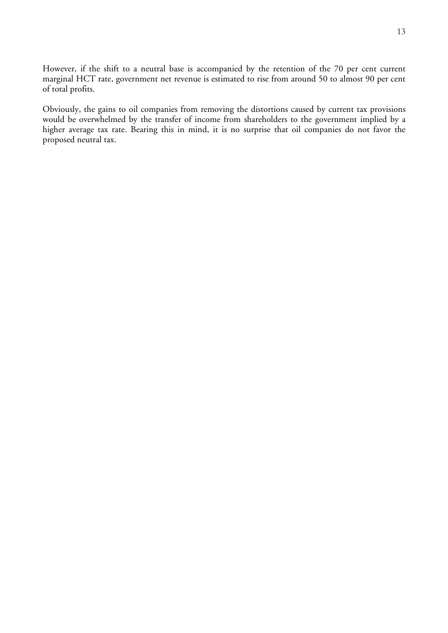However, if the shift to a neutral base is accompanied by the retention of the 70 per cent current marginal HCT rate, government net revenue is estimated to rise from around 50 to almost 90 per cent of total profits.

Obviously, the gains to oil companies from removing the distortions caused by current tax provisions would be overwhelmed by the transfer of income from shareholders to the government implied by a higher average tax rate. Bearing this in mind, it is no surprise that oil companies do not favor the proposed neutral tax.